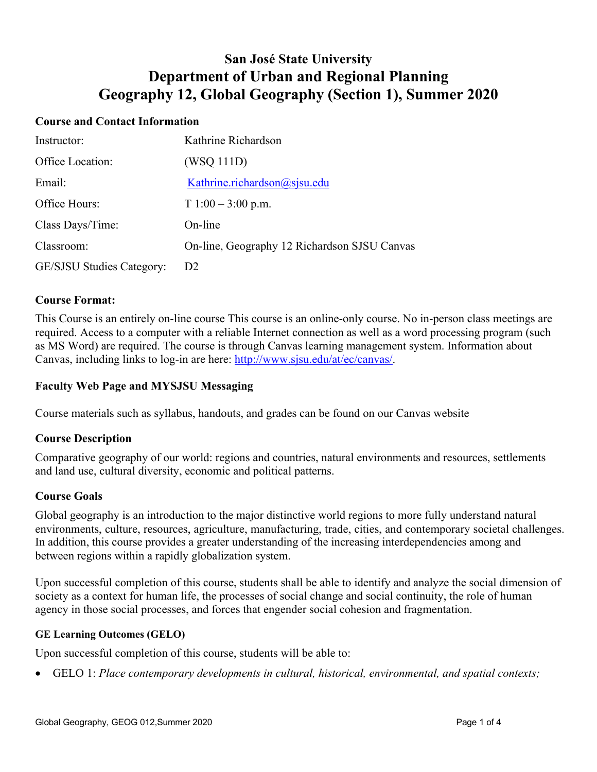# **San José State University Department of Urban and Regional Planning Geography 12, Global Geography (Section 1), Summer 2020**

## **Course and Contact Information**

| Instructor:               | Kathrine Richardson                          |
|---------------------------|----------------------------------------------|
| Office Location:          | (WSQ 111D)                                   |
| Email:                    | Kathrine.richardson@sjsu.edu                 |
| Office Hours:             | $T1:00-3:00$ p.m.                            |
| Class Days/Time:          | On-line                                      |
| Classroom:                | On-line, Geography 12 Richardson SJSU Canvas |
| GE/SJSU Studies Category: | D <sub>2</sub>                               |

#### **Course Format:**

This Course is an entirely on-line course This course is an online-only course. No in-person class meetings are required. Access to a computer with a reliable Internet connection as well as a word processing program (such as MS Word) are required. The course is through Canvas learning management system. Information about Canvas, including links to log-in are here: http://www.sjsu.edu/at/ec/canvas/.

## **Faculty Web Page and MYSJSU Messaging**

Course materials such as syllabus, handouts, and grades can be found on our Canvas website

#### **Course Description**

Comparative geography of our world: regions and countries, natural environments and resources, settlements and land use, cultural diversity, economic and political patterns.

#### **Course Goals**

Global geography is an introduction to the major distinctive world regions to more fully understand natural environments, culture, resources, agriculture, manufacturing, trade, cities, and contemporary societal challenges. In addition, this course provides a greater understanding of the increasing interdependencies among and between regions within a rapidly globalization system.

Upon successful completion of this course, students shall be able to identify and analyze the social dimension of society as a context for human life, the processes of social change and social continuity, the role of human agency in those social processes, and forces that engender social cohesion and fragmentation.

#### **GE Learning Outcomes (GELO)**

Upon successful completion of this course, students will be able to:

• GELO 1: *Place contemporary developments in cultural, historical, environmental, and spatial contexts;*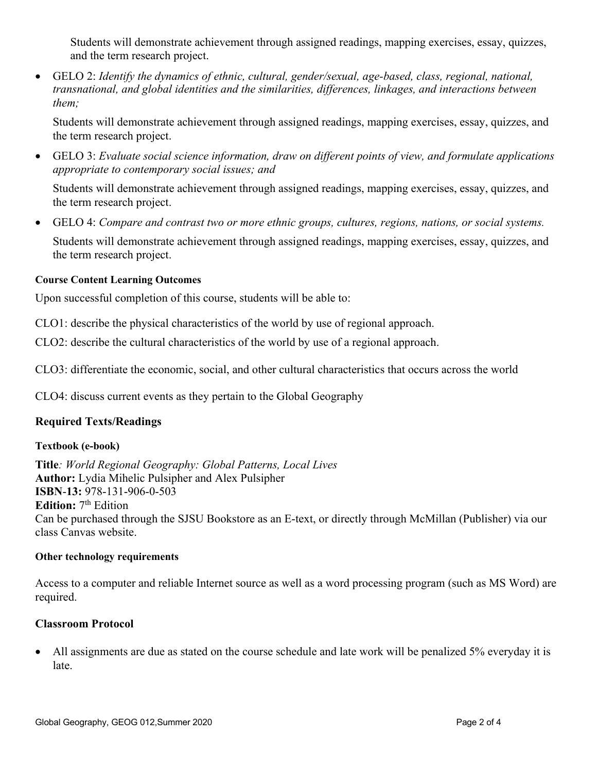Students will demonstrate achievement through assigned readings, mapping exercises, essay, quizzes, and the term research project.

• GELO 2: *Identify the dynamics of ethnic, cultural, gender/sexual, age-based, class, regional, national, transnational, and global identities and the similarities, differences, linkages, and interactions between them;*

Students will demonstrate achievement through assigned readings, mapping exercises, essay, quizzes, and the term research project.

• GELO 3: *Evaluate social science information, draw on different points of view, and formulate applications appropriate to contemporary social issues; and*

Students will demonstrate achievement through assigned readings, mapping exercises, essay, quizzes, and the term research project.

• GELO 4: *Compare and contrast two or more ethnic groups, cultures, regions, nations, or social systems.*

Students will demonstrate achievement through assigned readings, mapping exercises, essay, quizzes, and the term research project.

## **Course Content Learning Outcomes**

Upon successful completion of this course, students will be able to:

CLO1: describe the physical characteristics of the world by use of regional approach.

CLO2: describe the cultural characteristics of the world by use of a regional approach.

CLO3: differentiate the economic, social, and other cultural characteristics that occurs across the world

CLO4: discuss current events as they pertain to the Global Geography

# **Required Texts/Readings**

## **Textbook (e-book)**

**Title***: World Regional Geography: Global Patterns, Local Lives* **Author:** Lydia Mihelic Pulsipher and Alex Pulsipher **ISBN**-**13:** 978-131-906-0-503 Edition: 7<sup>th</sup> Edition Can be purchased through the SJSU Bookstore as an E-text, or directly through McMillan (Publisher) via our class Canvas website.

## **Other technology requirements**

Access to a computer and reliable Internet source as well as a word processing program (such as MS Word) are required.

## **Classroom Protocol**

• All assignments are due as stated on the course schedule and late work will be penalized 5% everyday it is late.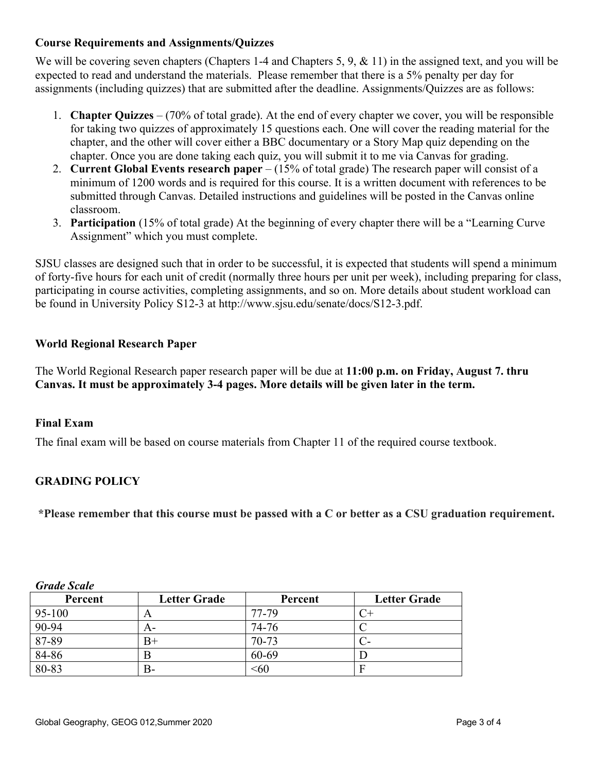# **Course Requirements and Assignments/Quizzes**

We will be covering seven chapters (Chapters 1-4 and Chapters 5, 9, & 11) in the assigned text, and you will be expected to read and understand the materials. Please remember that there is a 5% penalty per day for assignments (including quizzes) that are submitted after the deadline. Assignments/Quizzes are as follows:

- 1. **Chapter Quizzes** (70% of total grade). At the end of every chapter we cover, you will be responsible for taking two quizzes of approximately 15 questions each. One will cover the reading material for the chapter, and the other will cover either a BBC documentary or a Story Map quiz depending on the chapter. Once you are done taking each quiz, you will submit it to me via Canvas for grading.
- 2. **Current Global Events research paper** (15% of total grade) The research paper will consist of a minimum of 1200 words and is required for this course. It is a written document with references to be submitted through Canvas. Detailed instructions and guidelines will be posted in the Canvas online classroom.
- 3. **Participation** (15% of total grade) At the beginning of every chapter there will be a "Learning Curve Assignment" which you must complete.

SJSU classes are designed such that in order to be successful, it is expected that students will spend a minimum of forty-five hours for each unit of credit (normally three hours per unit per week), including preparing for class, participating in course activities, completing assignments, and so on. More details about student workload can be found in University Policy S12-3 at http://www.sjsu.edu/senate/docs/S12-3.pdf.

# **World Regional Research Paper**

The World Regional Research paper research paper will be due at **11:00 p.m. on Friday, August 7. thru Canvas. It must be approximately 3-4 pages. More details will be given later in the term.**

# **Final Exam**

The final exam will be based on course materials from Chapter 11 of the required course textbook.

# **GRADING POLICY**

**\*Please remember that this course must be passed with a C or better as a CSU graduation requirement.**

| Percent    | <b>Letter Grade</b> | Percent   | <b>Letter Grade</b> |
|------------|---------------------|-----------|---------------------|
| $95 - 100$ | A                   | 77-79     |                     |
| 90-94      | A-                  | 74-76     |                     |
| 87-89      | $_{\rm B+}$         | $70 - 73$ | $C-$                |
| 84-86      |                     | 60-69     |                     |
| 80-83      | B-                  | <60       | E                   |

*Grade Scale*